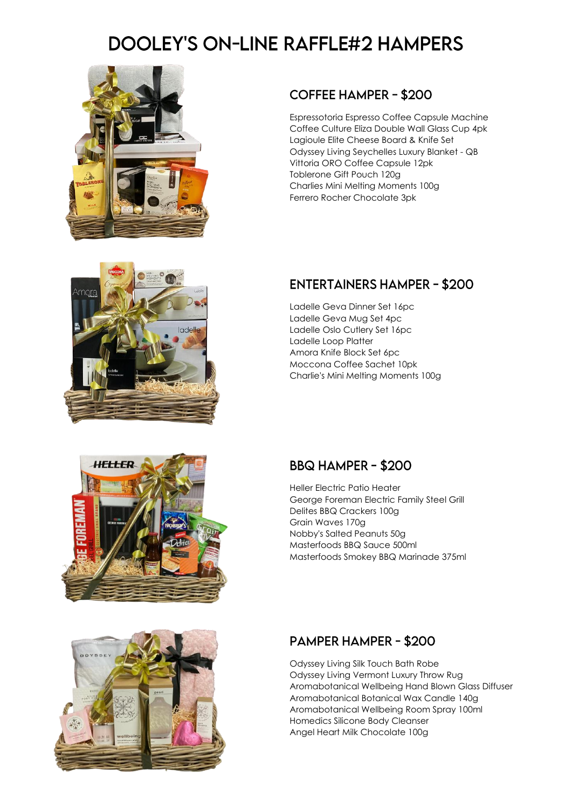# **DOOLEY'S ON-LINE RAFFLE#2 HAMPERS**



### **COFFEE HAMPER - \$200**

Espressotoria Espresso Coffee Capsule Machine Coffee Culture Eliza Double Wall Glass Cup 4pk Lagioule Elite Cheese Board & Knife Set Odyssey Living Seychelles Luxury Blanket - QB Vittoria ORO Coffee Capsule 12pk Toblerone Gift Pouch 120g Charlies Mini Melting Moments 100g Ferrero Rocher Chocolate 3pk



# **ENTERTAINERS HAMPER - \$200**

Ladelle Geva Dinner Set 16pc Ladelle Geva Mug Set 4pc Ladelle Oslo Cutlery Set 16pc Ladelle Loop Platter Amora Knife Block Set 6pc Moccona Coffee Sachet 10pk Charlie's Mini Melting Moments 100g

#### **BBQ HAMPER - \$200**

Heller Electric Patio Heater George Foreman Electric Family Steel Grill Delites BBQ Crackers 100g Grain Waves 170g Nobby's Salted Peanuts 50g Masterfoods BBQ Sauce 500ml Masterfoods Smokey BBQ Marinade 375ml

# **PAMPER HAMPER - \$200**

Odyssey Living Silk Touch Bath Robe Odyssey Living Vermont Luxury Throw Rug Aromabotanical Wellbeing Hand Blown Glass Diffuser Aromabotanical Botanical Wax Candle 140g Aromabotanical Wellbeing Room Spray 100ml Homedics Silicone Body Cleanser Angel Heart Milk Chocolate 100g